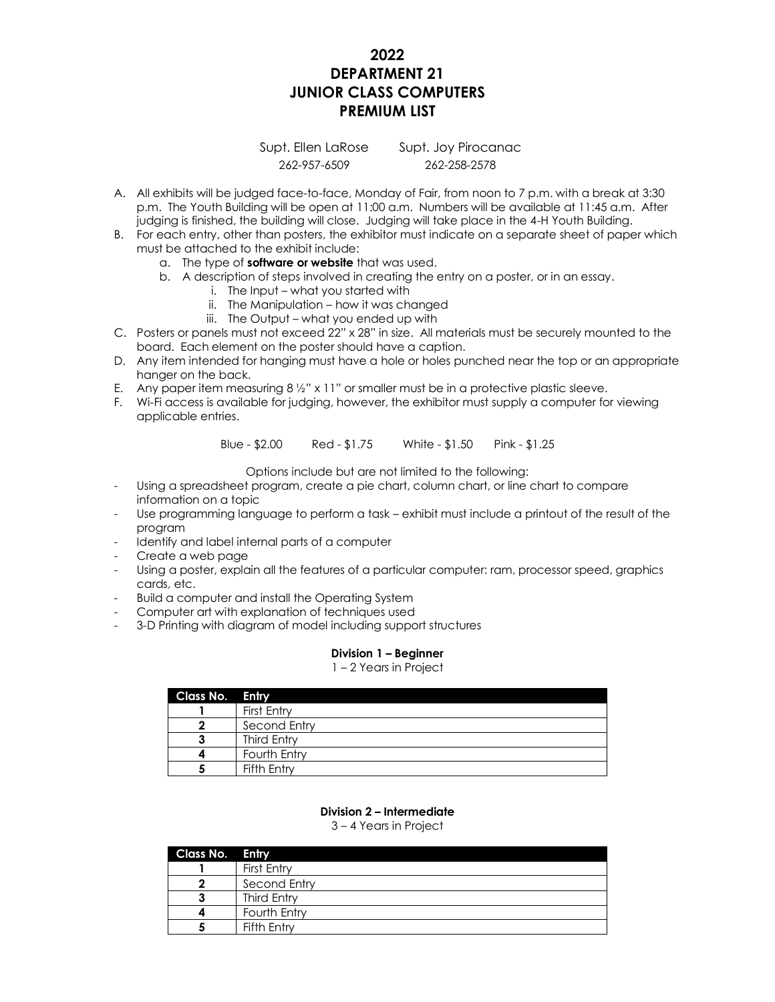# **2022 DEPARTMENT 21 JUNIOR CLASS COMPUTERS PREMIUM LIST**

Supt. Ellen LaRose Supt. Joy Pirocanac 262-957-6509 262-258-2578

- A. All exhibits will be judged face-to-face, Monday of Fair, from noon to 7 p.m. with a break at 3:30 p.m. The Youth Building will be open at 11:00 a.m. Numbers will be available at 11:45 a.m. After judging is finished, the building will close. Judging will take place in the 4-H Youth Building.
- B. For each entry, other than posters, the exhibitor must indicate on a separate sheet of paper which must be attached to the exhibit include:
	- a. The type of **software or website** that was used.
	- b. A description of steps involved in creating the entry on a poster, or in an essay.
		- i. The Input what you started with
		- ii. The Manipulation how it was changed
		- iii. The Output what you ended up with
- C. Posters or panels must not exceed 22" x 28" in size. All materials must be securely mounted to the board. Each element on the poster should have a caption.
- D. Any item intended for hanging must have a hole or holes punched near the top or an appropriate hanger on the back.
- E. Any paper item measuring 8 ½" x 11" or smaller must be in a protective plastic sleeve.
- F. Wi-Fi access is available for judging, however, the exhibitor must supply a computer for viewing applicable entries.

Blue - \$2.00 Red - \$1.75 White - \$1.50 Pink - \$1.25

Options include but are not limited to the following:

- Using a spreadsheet program, create a pie chart, column chart, or line chart to compare information on a topic
- Use programming language to perform a task exhibit must include a printout of the result of the program
- Identify and label internal parts of a computer
- Create a web page
- Using a poster, explain all the features of a particular computer: ram, processor speed, graphics cards, etc.
- Build a computer and install the Operating System
- Computer art with explanation of techniques used
- 3-D Printing with diagram of model including support structures

### **Division 1 – Beginner**

#### 1 – 2 Years in Project

| Class No. Entry |                    |
|-----------------|--------------------|
|                 | First Entry        |
|                 | Second Entry       |
|                 | <b>Third Entry</b> |
|                 | Fourth Entry       |
|                 | Fifth Entry        |

## **Division 2 – Intermediate**

3 – 4 Years in Project

| Class No. Entry |                    |
|-----------------|--------------------|
|                 | First Entry        |
|                 | Second Entry       |
|                 | <b>Third Entry</b> |
|                 | Fourth Entry       |
|                 | Fifth Entry        |